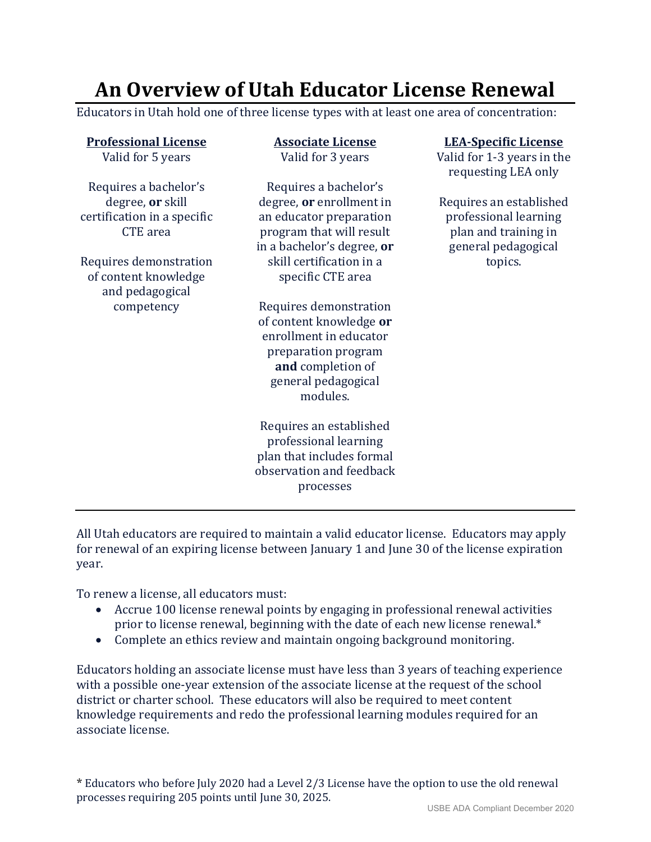## **An Overview of Utah Educator License Renewal**

Educators in Utah hold one of three license types with at least one area of concentration:

| <b>Professional License</b><br>Valid for 5 years                                            | <b>Associate License</b><br>Valid for 3 years                                                                                                              | <b>LEA-Specific License</b><br>Valid for 1-3 years in the<br>requesting LEA only                |
|---------------------------------------------------------------------------------------------|------------------------------------------------------------------------------------------------------------------------------------------------------------|-------------------------------------------------------------------------------------------------|
| Requires a bachelor's<br>degree, or skill<br>certification in a specific<br><b>CTE</b> area | Requires a bachelor's<br>degree, or enrollment in<br>an educator preparation<br>program that will result<br>in a bachelor's degree, or                     | Requires an established<br>professional learning<br>plan and training in<br>general pedagogical |
| Requires demonstration<br>of content knowledge<br>and pedagogical                           | skill certification in a<br>specific CTE area                                                                                                              | topics.                                                                                         |
| competency                                                                                  | Requires demonstration<br>of content knowledge or<br>enrollment in educator<br>preparation program<br>and completion of<br>general pedagogical<br>modules. |                                                                                                 |
|                                                                                             | Requires an established<br>professional learning<br>plan that includes formal<br>observation and feedback<br>processes                                     |                                                                                                 |

All Utah educators are required to maintain a valid educator license. Educators may apply for renewal of an expiring license between January 1 and June 30 of the license expiration year.

To renew a license, all educators must:

- Accrue 100 license renewal points by engaging in professional renewal activities prior to license renewal, beginning with the date of each new license renewal.\*
- Complete an ethics review and maintain ongoing background monitoring.

Educators holding an associate license must have less than 3 years of teaching experience with a possible one-year extension of the associate license at the request of the school district or charter school. These educators will also be required to meet content knowledge requirements and redo the professional learning modules required for an associate license.